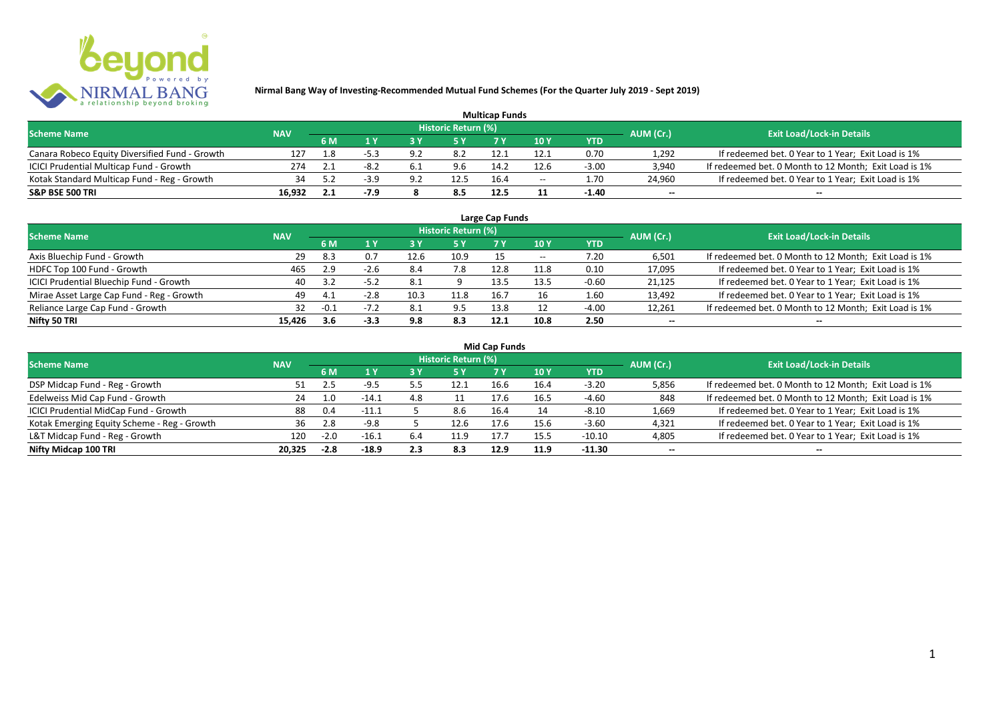

| <b>Multicap Funds</b>                          |            |     |        |             |                            |      |                          |         |                          |                                                       |  |  |
|------------------------------------------------|------------|-----|--------|-------------|----------------------------|------|--------------------------|---------|--------------------------|-------------------------------------------------------|--|--|
| <b>Scheme Name</b>                             | <b>NAV</b> |     |        |             | <b>Historic Return (%)</b> |      |                          |         | AUM (Cr.)                | <b>Exit Load/Lock-in Details</b>                      |  |  |
|                                                |            | 6 M |        |             |                            |      | 10Y                      | YTD     |                          |                                                       |  |  |
| Canara Robeco Equity Diversified Fund - Growth | 127        | ⊥.8 | -5.3   | ດາ<br>ے . د | -8.2                       |      | 12.1                     | 0.70    | 1,292                    | If redeemed bet. 0 Year to 1 Year; Exit Load is 1%    |  |  |
| ICICI Prudential Multicap Fund - Growth        | 274        |     | ے:8-   | 6.1         | 9.6                        | 14.7 | 12.6                     | $-3.00$ | 3,940                    | If redeemed bet. 0 Month to 12 Month; Exit Load is 1% |  |  |
| Kotak Standard Multicap Fund - Reg - Growth    | 34         |     | $-3.9$ | റാ          | 12.5                       | 16.4 | $\overline{\phantom{a}}$ | 1.70    | 24,960                   | If redeemed bet. 0 Year to 1 Year; Exit Load is 1%    |  |  |
| S&P BSE 500 TRI                                | 16.932     |     | $-7.9$ |             | 8.5                        | 12.5 |                          | $-1.40$ | $\overline{\phantom{a}}$ | $\overline{\phantom{a}}$                              |  |  |

| Large Cap Funds<br>Historic Return (%)    |            |        |        |      |      |      |       |            |                          |                                                       |  |  |
|-------------------------------------------|------------|--------|--------|------|------|------|-------|------------|--------------------------|-------------------------------------------------------|--|--|
| <b>Scheme Name</b>                        | <b>NAV</b> | 6 M    | 1 Y    |      | 5 Y  |      | 10Y   | <b>YTD</b> | AUM (Cr.)                | <b>Exit Load/Lock-in Details</b>                      |  |  |
| Axis Bluechip Fund - Growth               | 29         | 8.3    | 0.7    | 12.6 | 10.9 | 15.  | $- -$ | 7.20       | 6,501                    | If redeemed bet. 0 Month to 12 Month; Exit Load is 1% |  |  |
| HDFC Top 100 Fund - Growth                | 465        | 2.9    | $-2.6$ | 8.4  |      | 12.8 | 11.8  | 0.10       | 17,095                   | If redeemed bet. 0 Year to 1 Year; Exit Load is 1%    |  |  |
| ICICI Prudential Bluechip Fund - Growth   | 40         | 3.2    | $-5.2$ | -8.1 |      | 13.5 | 13.5  | $-0.60$    | 21,125                   | If redeemed bet. 0 Year to 1 Year; Exit Load is 1%    |  |  |
| Mirae Asset Large Cap Fund - Reg - Growth | 49         | 4.1    | -2.8   | 10.3 | 11.8 | 16.7 | 16    | 1.60       | 13,492                   | If redeemed bet. 0 Year to 1 Year; Exit Load is 1%    |  |  |
| Reliance Large Cap Fund - Growth          | 32         | $-0.1$ | $-7.2$ | 8.1  | 9.5  | 13.8 |       | $-4.00$    | 12,261                   | If redeemed bet. 0 Month to 12 Month; Exit Load is 1% |  |  |
| Nifty 50 TRI                              | 15,426     | 3.6    | $-3.3$ | 9.8  | 8.3  | 12.1 | 10.8  | 2.50       | $\overline{\phantom{a}}$ | $\overline{\phantom{a}}$                              |  |  |

|  |  | <b>Mid Cap Funds</b> |
|--|--|----------------------|
|--|--|----------------------|

| <b>Scheme Name</b>                          | <b>NAV</b> |        |         |            | Historic Return (%) |      |      |            | AUM (Cr.)                | <b>Exit Load/Lock-in Details</b>                      |
|---------------------------------------------|------------|--------|---------|------------|---------------------|------|------|------------|--------------------------|-------------------------------------------------------|
|                                             |            | 6 M    |         |            | /5 Y                |      | 10 Y | <b>YTD</b> |                          |                                                       |
| DSP Midcap Fund - Reg - Growth              | 51         | 2.5    | $-9.5$  | ີ –<br>ن.ر | 12.                 | 16.6 | 16.4 | $-3.20$    | 5,856                    | If redeemed bet. 0 Month to 12 Month; Exit Load is 1% |
| Edelweiss Mid Cap Fund - Growth             | 24         | 1.0    | $-14.1$ | 4.8        |                     | 17.6 | 16.5 | $-4.60$    | 848                      | If redeemed bet. 0 Month to 12 Month; Exit Load is 1% |
| ICICI Prudential MidCap Fund - Growth       | 88         | 0.4    | $-11.1$ |            | 8.6                 | 16.4 | 14   | $-8.10$    | 1,669                    | If redeemed bet. 0 Year to 1 Year; Exit Load is 1%    |
| Kotak Emerging Equity Scheme - Reg - Growth | 36         | 2.8    | $-9.8$  |            | 12.6                | 17.6 | 15.6 | $-3.60$    | 4,321                    | If redeemed bet. 0 Year to 1 Year; Exit Load is 1%    |
| L&T Midcap Fund - Reg - Growth              | 120        | $-2.0$ | $-16.1$ | 6.4        |                     | 17.7 | 15.5 | $-10.10$   | 4,805                    | If redeemed bet. 0 Year to 1 Year; Exit Load is 1%    |
| Nifty Midcap 100 TRI                        | 20.325     | $-2.8$ | $-18.9$ | 2.3        | 8.3                 | 12.9 | 11.9 | $-11.30$   | $\overline{\phantom{a}}$ | $\overline{\phantom{a}}$                              |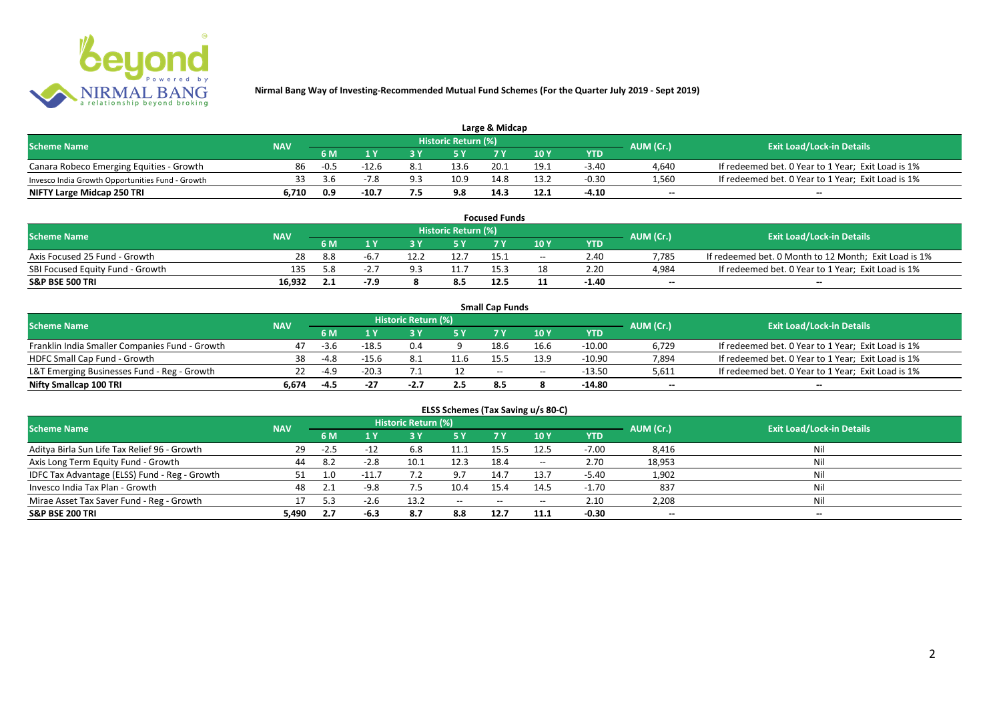

| Large & Midcap                                   |            |        |                         |  |                     |      |      |         |       |                                                    |  |  |
|--------------------------------------------------|------------|--------|-------------------------|--|---------------------|------|------|---------|-------|----------------------------------------------------|--|--|
| <b>Scheme Name</b>                               | <b>NAV</b> |        |                         |  | Historic Return (%) |      |      |         |       | <b>Exit Load/Lock-in Details</b>                   |  |  |
|                                                  |            | 6 M    | AUM (Cr.)<br>10Y<br>YTD |  |                     |      |      |         |       |                                                    |  |  |
| Canara Robeco Emerging Equities - Growth         | 86         | $-0.5$ | $-12.6$                 |  | 13.6                | 20.1 | 19.1 | $-3.40$ | 4,640 | If redeemed bet. 0 Year to 1 Year; Exit Load is 1% |  |  |
| Invesco India Growth Opportunities Fund - Growth | 33.        |        |                         |  | 10.9                | 14.8 |      | $-0.30$ | 1,560 | If redeemed bet. 0 Year to 1 Year; Exit Load is 1% |  |  |
| NIFTY Large Midcap 250 TRI                       | 6.710      | 0.9    | -10.7                   |  | 9.8                 | 14.3 | 12.1 | -4.10   | $-$   | $- -$                                              |  |  |

| <b>Focused Funds</b>             |            |     |                                              |  |                     |      |       |       |                          |                                                       |  |  |
|----------------------------------|------------|-----|----------------------------------------------|--|---------------------|------|-------|-------|--------------------------|-------------------------------------------------------|--|--|
| <b>Scheme Name</b>               | <b>NAV</b> |     |                                              |  | Historic Return (%) |      |       |       |                          | <b>Exit Load/Lock-in Details</b>                      |  |  |
|                                  |            | 6 M | AUM (Cr.)<br>10 Y<br><b>YTD</b><br><b>EV</b> |  |                     |      |       |       |                          |                                                       |  |  |
| Axis Focused 25 Fund - Growth    | 28         | 8.8 |                                              |  | 12.7                |      | $- -$ | 2.40  | 7.785                    | If redeemed bet. 0 Month to 12 Month; Exit Load is 1% |  |  |
| SBI Focused Equity Fund - Growth | 135        | 5.8 | $-2.7$                                       |  | 11.7                |      | 18    | 2.20  | 4.984                    | If redeemed bet. 0 Year to 1 Year; Exit Load is 1%    |  |  |
| <b>S&amp;P BSE 500 TRI</b>       | 16.932     | 2.1 | -7.9                                         |  | 8.5                 | 12.5 |       | -1.40 | $\overline{\phantom{a}}$ | $- -$                                                 |  |  |

|                                                |            |                                 |         |                     |      | <b>Small Cap Funds</b> |                                       |          |                          |                                                    |
|------------------------------------------------|------------|---------------------------------|---------|---------------------|------|------------------------|---------------------------------------|----------|--------------------------|----------------------------------------------------|
| <b>Scheme Name</b>                             | <b>NAV</b> |                                 |         | Historic Return (%) |      |                        |                                       |          |                          | <b>Exit Load/Lock-in Details</b>                   |
|                                                |            | AUM (Cr.)<br>10 Y<br>6 M<br>YTD |         |                     |      |                        |                                       |          |                          |                                                    |
| Franklin India Smaller Companies Fund - Growth | 47         | $-3.6$                          | $-18.5$ | 0.4                 |      | 18.6                   | 16.6                                  | $-10.00$ | 6,729                    | If redeemed bet. 0 Year to 1 Year; Exit Load is 1% |
| HDFC Small Cap Fund - Growth                   | 38         | $-4.8$                          | $-15.6$ |                     | 11.6 |                        | 13.9                                  | $-10.90$ | 7,894                    | If redeemed bet. 0 Year to 1 Year; Exit Load is 1% |
| L&T Emerging Businesses Fund - Reg - Growth    | 22         | $-4.9$                          | $-20.3$ |                     |      | $-$                    | $\hspace{0.05cm}$ – $\hspace{0.05cm}$ | $-13.50$ | 5,611                    | If redeemed bet. 0 Year to 1 Year; Exit Load is 1% |
| Nifty Smallcap 100 TRI                         | 6.674      | -4.5                            |         | $-2.7$              | 2.5  | 8.5                    |                                       | -14.80   | $\overline{\phantom{a}}$ | $-$                                                |

|                                               |            |        |         |                     |           |           | ELSS Schemes (Tax Saving u/s 80-C)    |            |                          |                                  |
|-----------------------------------------------|------------|--------|---------|---------------------|-----------|-----------|---------------------------------------|------------|--------------------------|----------------------------------|
| <b>Scheme Name</b>                            | <b>NAV</b> |        |         | Historic Return (%) |           |           |                                       |            | AUM (Cr.)                | <b>Exit Load/Lock-in Details</b> |
|                                               |            | 6 M    | 1 Y     | 3 Y                 | <b>5Y</b> | <b>7Y</b> | 10 Y                                  | <b>YTD</b> |                          |                                  |
| Aditya Birla Sun Life Tax Relief 96 - Growth  | 29         | $-2.5$ | $-12$   | 6.8                 |           | 15.5      | 12.5                                  | $-7.00$    | 8,416                    | Nil                              |
| Axis Long Term Equity Fund - Growth           | 44         | 8.2    | $-2.8$  | 10.1                | 12.3      | 18.4      | $- -$                                 | 2.70       | 18,953                   | Nil                              |
| IDFC Tax Advantage (ELSS) Fund - Reg - Growth | 51         | 1.0    | $-11.7$ |                     | 9.7       | 14.7      | 13.7                                  | $-5.40$    | 1,902                    | Nil                              |
| Invesco India Tax Plan - Growth               | 48         | 2.1    | $-9.8$  |                     | 10.4      | 15.4      | 14.5                                  | $-1.70$    | 837                      | Nil                              |
| Mirae Asset Tax Saver Fund - Reg - Growth     | 17         | 5.3    | $-2.6$  | 13.2                | $- -$     | $- -$     | $\hspace{0.05cm}$ – $\hspace{0.05cm}$ | 2.10       | 2,208                    | Nil                              |
| S&P BSE 200 TRI                               | 5,490      | 2.7    | -6.3    | 8.7                 | 8.8       | 12.7      | 11.1                                  | $-0.30$    | $\overline{\phantom{a}}$ | $\overline{\phantom{a}}$         |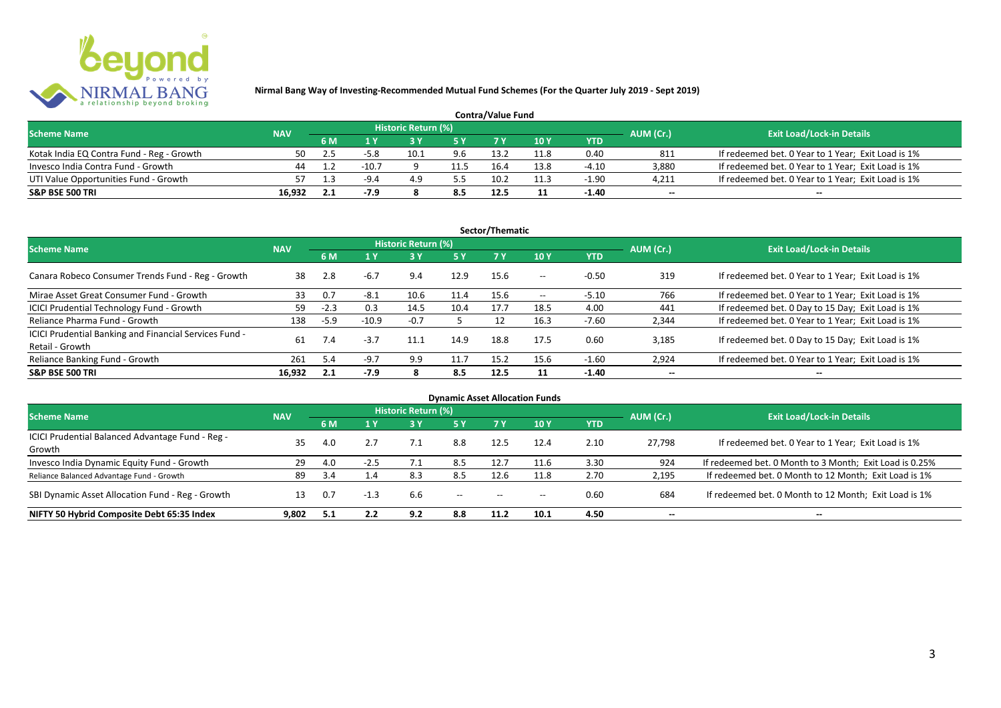

| <b>Contra/Value Fund</b>                  |            |                    |         |                     |      |      |      |         |           |                                                    |  |  |
|-------------------------------------------|------------|--------------------|---------|---------------------|------|------|------|---------|-----------|----------------------------------------------------|--|--|
| <b>Scheme Name</b>                        | <b>NAV</b> |                    |         | Historic Return (%) |      |      |      |         | AUM (Cr.) | <b>Exit Load/Lock-in Details</b>                   |  |  |
|                                           |            | 10 Y<br>6 M<br>YTD |         |                     |      |      |      |         |           |                                                    |  |  |
| Kotak India EQ Contra Fund - Reg - Growth | 50         | 2.5                | $-5.8$  | 10.1                | 9.6  | 13.2 |      | 0.40    | 811       | If redeemed bet. 0 Year to 1 Year; Exit Load is 1% |  |  |
| Invesco India Contra Fund - Growth        | 44         |                    | $-10.7$ |                     | 11.5 | 16.4 | 13.8 | $-4.10$ | 3,880     | If redeemed bet. 0 Year to 1 Year; Exit Load is 1% |  |  |
| UTI Value Opportunities Fund - Growth     |            |                    | $-9.7$  |                     |      | 10.2 |      | $-1.90$ | 4,211     | If redeemed bet. 0 Year to 1 Year; Exit Load is 1% |  |  |
| <b>S&amp;P BSE 500 TRI</b>                | 16.932     | 2.1                | $-7.9$  |                     | 8.5  |      |      | $-1.40$ | $\sim$    | $\overline{\phantom{a}}$                           |  |  |

|                                                                           |            |        |         |                     |           | Sector/Thematic |                   |            |                          |                                                    |
|---------------------------------------------------------------------------|------------|--------|---------|---------------------|-----------|-----------------|-------------------|------------|--------------------------|----------------------------------------------------|
| <b>Scheme Name</b>                                                        | <b>NAV</b> |        |         | Historic Return (%) |           |                 |                   |            | AUM (Cr.)                | <b>Exit Load/Lock-in Details</b>                   |
|                                                                           |            | 6 M    | 1 Y     |                     | <b>5Y</b> | <b>7Y</b>       | 10Y               | <b>YTD</b> |                          |                                                    |
| Canara Robeco Consumer Trends Fund - Reg - Growth                         | 38         | 2.8    | $-6.7$  | 9.4                 | 12.9      | 15.6            | $- -$             | $-0.50$    | 319                      | If redeemed bet. 0 Year to 1 Year; Exit Load is 1% |
| Mirae Asset Great Consumer Fund - Growth                                  | 33         | 0.7    | $-8.1$  | 10.6                | 11.4      | 15.6            | $\hspace{0.05cm}$ | $-5.10$    | 766                      | If redeemed bet. 0 Year to 1 Year; Exit Load is 1% |
| ICICI Prudential Technology Fund - Growth                                 | 59         | $-2.3$ | 0.3     | 14.5                | 10.4      | 17.7            | 18.5              | 4.00       | 441                      | If redeemed bet. 0 Day to 15 Day; Exit Load is 1%  |
| Reliance Pharma Fund - Growth                                             | 138        | $-5.9$ | $-10.9$ | $-0.7$              |           |                 | 16.3              | $-7.60$    | 2,344                    | If redeemed bet. 0 Year to 1 Year; Exit Load is 1% |
| ICICI Prudential Banking and Financial Services Fund -<br>Retail - Growth | 61         | 7.4    | $-3.7$  | 11.1                | 14.9      | 18.8            | 17.5              | 0.60       | 3.185                    | If redeemed bet. 0 Day to 15 Day; Exit Load is 1%  |
| Reliance Banking Fund - Growth                                            | 261        | 5.4    | $-9.7$  | 9.9                 | 11.7      | 15.2            | 15.6              | $-1.60$    | 2,924                    | If redeemed bet. 0 Year to 1 Year; Exit Load is 1% |
| <b>S&amp;P BSE 500 TRI</b>                                                | 16.932     | 2.1    | $-7.9$  | 8                   | 8.5       | 12.5            |                   | $-1.40$    | $\overline{\phantom{a}}$ | --                                                 |

|                                                  |            |     |        |                     |                                       |           | <b>Dynamic Asset Allocation Funds</b> |            |                          |                                                         |
|--------------------------------------------------|------------|-----|--------|---------------------|---------------------------------------|-----------|---------------------------------------|------------|--------------------------|---------------------------------------------------------|
| Scheme Name                                      | <b>NAV</b> |     |        | Historic Return (%) |                                       |           |                                       |            | AUM (Cr.)                | <b>Exit Load/Lock-in Details</b>                        |
|                                                  |            | 6 M | 1 Y    |                     | <b>5Y</b>                             | <b>7Y</b> | 10Y                                   | <b>YTD</b> |                          |                                                         |
| ICICI Prudential Balanced Advantage Fund - Reg - | 35         | 4.0 |        |                     | 8.8                                   | 12.5      | 12.4                                  | 2.10       | 27,798                   | If redeemed bet. 0 Year to 1 Year; Exit Load is 1%      |
| Growth                                           |            |     |        |                     |                                       |           |                                       |            |                          |                                                         |
| Invesco India Dynamic Equity Fund - Growth       | 29         | 4.0 | $-2.5$ |                     | 8.5                                   | 12.7      | 11.6                                  | 3.30       | 924                      | If redeemed bet. 0 Month to 3 Month; Exit Load is 0.25% |
| Reliance Balanced Advantage Fund - Growth        | 89         | 3.4 | 1.4    | 8.3                 | 8.5                                   | 12.6      | 11.8                                  | 2.70       | 2,195                    | If redeemed bet. 0 Month to 12 Month; Exit Load is 1%   |
| SBI Dynamic Asset Allocation Fund - Reg - Growth |            | 0.7 | $-1.3$ | 6.6                 | $\hspace{0.05cm}$ – $\hspace{0.05cm}$ | $-$       | $\hspace{0.05cm}$ – $\hspace{0.05cm}$ | 0.60       | 684                      | If redeemed bet. 0 Month to 12 Month; Exit Load is 1%   |
| NIFTY 50 Hybrid Composite Debt 65:35 Index       | 9,802      | 5.1 | 2.2    | 9.2                 | 8.8                                   | 11.2      | 10.1                                  | 4.50       | $\overline{\phantom{a}}$ | $- -$                                                   |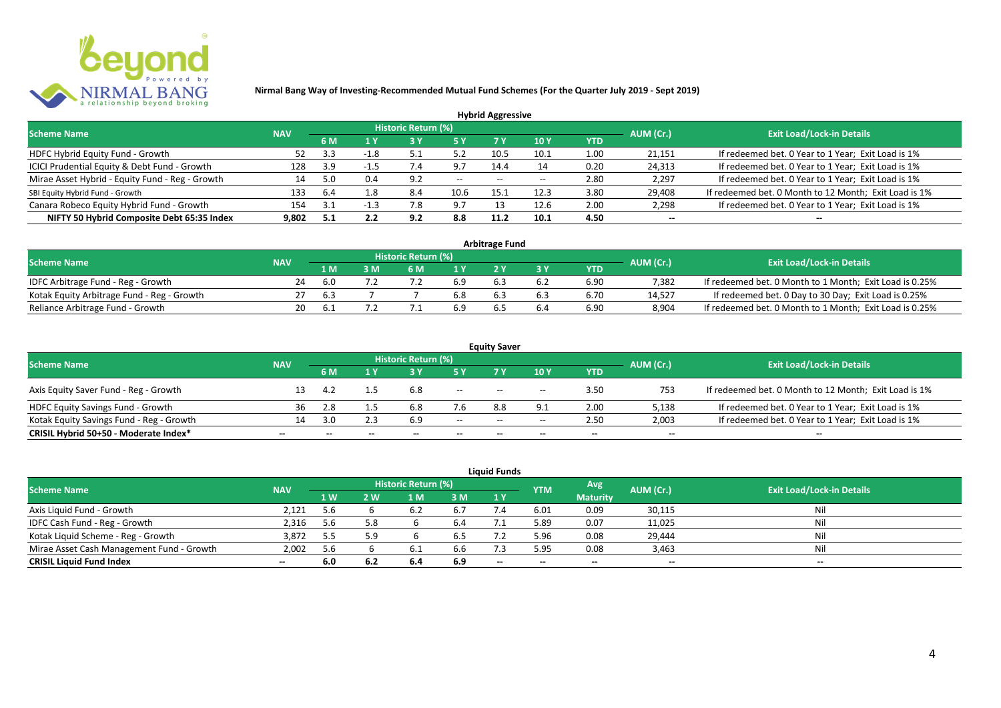

| <b>Hybrid Aggressive</b>                        |            |     |        |                            |           |       |             |            |                          |                                                       |  |  |
|-------------------------------------------------|------------|-----|--------|----------------------------|-----------|-------|-------------|------------|--------------------------|-------------------------------------------------------|--|--|
| <b>Scheme Name</b>                              | <b>NAV</b> |     |        | <b>Historic Return (%)</b> |           |       |             |            | AUM (Cr.)                | <b>Exit Load/Lock-in Details</b>                      |  |  |
|                                                 |            | 6 M | 1 Y    |                            | <b>5Y</b> | 7 Y   | <b>10 Y</b> | <b>YTD</b> |                          |                                                       |  |  |
| HDFC Hybrid Equity Fund - Growth                | 52         | 3.3 | $-1.8$ |                            | 5.2       | 10.5  | 10.1        | 1.00       | 21,151                   | If redeemed bet. 0 Year to 1 Year; Exit Load is 1%    |  |  |
| ICICI Prudential Equity & Debt Fund - Growth    | 128        | 3.9 |        |                            | 9.7       | 14.4  |             | 0.20       | 24,313                   | If redeemed bet. 0 Year to 1 Year; Exit Load is 1%    |  |  |
| Mirae Asset Hybrid - Equity Fund - Reg - Growth | 14         | 5.0 | 0.4    | 9.2                        | $--$      | $- -$ | $-$         | 2.80       | 2,297                    | If redeemed bet. 0 Year to 1 Year; Exit Load is 1%    |  |  |
| SBI Equity Hybrid Fund - Growth                 | 133        | 6.4 | 1.8    | 8.4                        | 10.6      | 15.1  | 12.3        | 3.80       | 29,408                   | If redeemed bet. 0 Month to 12 Month; Exit Load is 1% |  |  |
| Canara Robeco Equity Hybrid Fund - Growth       | 154        | 3.1 |        |                            | 9.7       |       | 12.6        | 2.00       | 2,298                    | If redeemed bet. 0 Year to 1 Year; Exit Load is 1%    |  |  |
| NIFTY 50 Hybrid Composite Debt 65:35 Index      | 9.802      | 5.1 | 2.2    | 9.2                        | 8.8       | 11.2  | 10.1        | 4.50       | $\overline{\phantom{a}}$ | $\overline{\phantom{a}}$                              |  |  |

| <b>Arbitrage Fund</b>                      |            |     |  |                            |     |  |  |            |           |                                                         |  |  |  |
|--------------------------------------------|------------|-----|--|----------------------------|-----|--|--|------------|-----------|---------------------------------------------------------|--|--|--|
| <b>Scheme Name</b>                         | <b>NAV</b> |     |  | <b>Historic Return (%)</b> |     |  |  |            | AUM (Cr.) | <b>Exit Load/Lock-in Details</b>                        |  |  |  |
|                                            |            | 1 M |  | 5 M                        |     |  |  | <b>YTD</b> |           |                                                         |  |  |  |
| IDFC Arbitrage Fund - Reg - Growth         | 24         | 6.0 |  |                            | 6.9 |  |  | 6.90       | 7.382     | If redeemed bet. 0 Month to 1 Month; Exit Load is 0.25% |  |  |  |
| Kotak Equity Arbitrage Fund - Reg - Growth |            | 6.3 |  |                            | 6.8 |  |  | 6.70       | 14.527    | If redeemed bet. 0 Day to 30 Day; Exit Load is 0.25%    |  |  |  |
| Reliance Arbitrage Fund - Growth           | 20         |     |  |                            | 6.9 |  |  | 6.90       | 8,904     | If redeemed bet. 0 Month to 1 Month; Exit Load is 0.25% |  |  |  |

|                                          |                          |       |                          |                     |                          | <b>Equity Saver</b> |       |                          |                          |                                                       |
|------------------------------------------|--------------------------|-------|--------------------------|---------------------|--------------------------|---------------------|-------|--------------------------|--------------------------|-------------------------------------------------------|
| <b>Scheme Name</b>                       | <b>NAV</b>               |       |                          | Historic Return (%) |                          |                     |       |                          | AUM (Cr.)                | <b>Exit Load/Lock-in Details</b>                      |
|                                          |                          | 6 M   |                          |                     | 5 Y                      |                     | 10 Y  | <b>YTD</b>               |                          |                                                       |
| Axis Equity Saver Fund - Reg - Growth    |                          |       |                          | 6.8                 | $- -$                    | $- -$               | $- -$ | 3.50                     | 753                      | If redeemed bet. 0 Month to 12 Month; Exit Load is 1% |
| HDFC Equity Savings Fund - Growth        | 36                       | 2.8   |                          |                     |                          | 8.8                 |       | 2.00                     | 5,138                    | If redeemed bet. 0 Year to 1 Year; Exit Load is 1%    |
| Kotak Equity Savings Fund - Reg - Growth | 14                       | 3.0   |                          | 6.9                 | $- -$                    | $- -$               | $- -$ | 2.50                     | 2,003                    | If redeemed bet. 0 Year to 1 Year; Exit Load is 1%    |
| CRISIL Hybrid 50+50 - Moderate Index*    | $\overline{\phantom{a}}$ | $- -$ | $\overline{\phantom{a}}$ | $- -$               | $\overline{\phantom{a}}$ | $- -$               | $- -$ | $\overline{\phantom{a}}$ | $\overline{\phantom{a}}$ | $\overline{\phantom{a}}$                              |

| <b>Liquid Funds</b>                       |            |      |      |                     |     |       |            |                 |           |                                  |  |  |  |  |
|-------------------------------------------|------------|------|------|---------------------|-----|-------|------------|-----------------|-----------|----------------------------------|--|--|--|--|
| <b>Scheme Name</b>                        | <b>NAV</b> |      |      | Historic Return (%) |     |       | <b>YTM</b> | Avg             | AUM (Cr.) | <b>Exit Load/Lock-in Details</b> |  |  |  |  |
|                                           |            | 1 W. | 2 W  | 1 M                 | 3 M | 1Y    |            | <b>Maturity</b> |           |                                  |  |  |  |  |
| Axis Liquid Fund - Growth                 | 2,121      | 5.6  |      |                     | 6.7 |       | 6.01       | 0.09            | 30,115    | Nil                              |  |  |  |  |
| IDFC Cash Fund - Reg - Growth             | 2,316      | 5.6  | 5.8  |                     | 6.4 |       | 5.89       | 0.07            | 11,025    | Nil                              |  |  |  |  |
| Kotak Liquid Scheme - Reg - Growth        | 3,872      | 5.5  |      |                     | 6.5 |       | 5.96       | 0.08            | 29,444    | Nil                              |  |  |  |  |
| Mirae Asset Cash Management Fund - Growth | 2,002      | 5.6  |      |                     | 6.6 |       | 5.95       | 0.08            | 3,463     | Nil                              |  |  |  |  |
| <b>CRISIL Liquid Fund Index</b>           | $\sim$     | 6.0  | -6.2 | 6.4                 | 6.9 | $- -$ | $- -$      | $- -$           | --        | $- -$                            |  |  |  |  |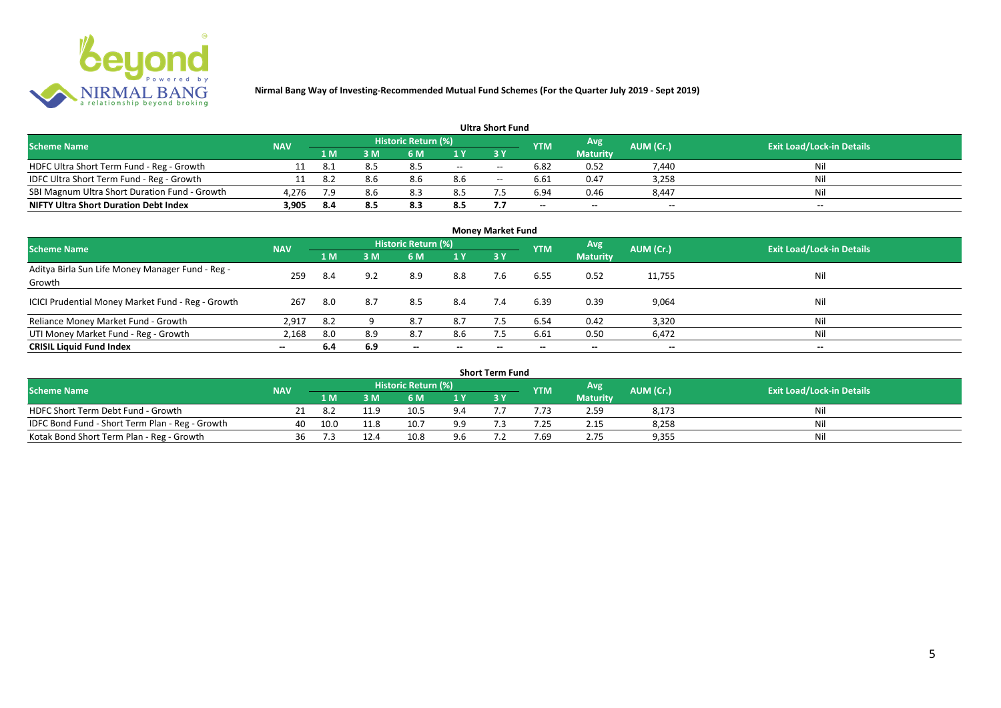

| <b>Ultra Short Fund</b>                       |            |        |      |                            |     |       |                          |                          |           |                                  |  |  |  |  |
|-----------------------------------------------|------------|--------|------|----------------------------|-----|-------|--------------------------|--------------------------|-----------|----------------------------------|--|--|--|--|
| <b>Scheme Name</b>                            | <b>NAV</b> |        |      | <b>Historic Return (%)</b> |     |       | <b>YTM</b>               | Avg                      | AUM (Cr.) | <b>Exit Load/Lock-in Details</b> |  |  |  |  |
|                                               |            | '1 M . | 3 M' | 6 M                        |     |       |                          | <b>Maturity</b>          |           |                                  |  |  |  |  |
| HDFC Ultra Short Term Fund - Reg - Growth     |            | -8.1   | 8.5  | 8.5                        | $-$ | $- -$ | 6.82                     | 0.52                     | 7.440     | Nil                              |  |  |  |  |
| IDFC Ultra Short Term Fund - Reg - Growth     |            | -8.2   | 8.6  | 8.6                        | 8.6 | $- -$ | 6.61                     | 0.47                     | 3,258     | Nil                              |  |  |  |  |
| SBI Magnum Ultra Short Duration Fund - Growth | 4,276      | 7.9    | 8.6  | 8.3                        | 8.5 |       | 6.94                     | 0.46                     | 8,447     | Nil                              |  |  |  |  |
| <b>NIFTY Ultra Short Duration Debt Index</b>  | 3,905      | 8.4    | 8.5  | 8.3                        | 8.5 | 7.7   | $\overline{\phantom{a}}$ | $\overline{\phantom{a}}$ | $\sim$    | $- -$                            |  |  |  |  |

| <b>Money Market Fund</b>                                   |            |     |     |                                                   |                          |           |            |                 |                          |                                  |  |  |  |
|------------------------------------------------------------|------------|-----|-----|---------------------------------------------------|--------------------------|-----------|------------|-----------------|--------------------------|----------------------------------|--|--|--|
| <b>Scheme Name</b>                                         | <b>NAV</b> |     |     | <b>Historic Return (%)</b>                        |                          |           | <b>YTM</b> | Avg             | AUM (Cr.)                | <b>Exit Load/Lock-in Details</b> |  |  |  |
|                                                            |            | 1 M | 3M  | 6 M                                               | 1Y                       | <b>3Y</b> |            | <b>Maturity</b> |                          |                                  |  |  |  |
| Aditya Birla Sun Life Money Manager Fund - Reg -<br>Growth | 259        | 8.4 | 9.2 | 8.9                                               | 8.8                      | 7.6       | 6.55       | 0.52            | 11,755                   | Nil                              |  |  |  |
| ICICI Prudential Money Market Fund - Reg - Growth          | 267        | 8.0 | 8.7 | 8.5                                               | 8.4                      | 7.4       | 6.39       | 0.39            | 9,064                    | Nil                              |  |  |  |
| Reliance Money Market Fund - Growth                        | 2,917      | 8.2 |     | 8.7                                               | 8.7                      |           | 6.54       | 0.42            | 3,320                    | Nil                              |  |  |  |
| UTI Money Market Fund - Reg - Growth                       | 2,168      | 8.0 | 8.9 | 8.7                                               | 8.6                      | 7.5       | 6.61       | 0.50            | 6,472                    | Nil                              |  |  |  |
| <b>CRISIL Liquid Fund Index</b>                            | $- -$      | 6.4 | 6.9 | $\hspace{0.05cm}-\hspace{0.05cm}-\hspace{0.05cm}$ | $\overline{\phantom{a}}$ | $\!-$     | $\!-$      | $\sim$          | $\overline{\phantom{a}}$ | $\overline{\phantom{a}}$         |  |  |  |

| Short Term Fund                                 |            |      |      |                     |     |  |            |                 |           |                                  |  |  |  |  |
|-------------------------------------------------|------------|------|------|---------------------|-----|--|------------|-----------------|-----------|----------------------------------|--|--|--|--|
| <b>Scheme Name</b>                              | <b>NAV</b> |      |      | Historic Return (%) |     |  | <b>YTM</b> | Avg             | AUM (Cr.) | <b>Exit Load/Lock-in Details</b> |  |  |  |  |
|                                                 |            | 1 M  |      | 6 M                 | 1 V |  |            | <b>Maturity</b> |           |                                  |  |  |  |  |
| HDFC Short Term Debt Fund - Growth              |            | 8.2  | 11.9 | 10.5                | 9.4 |  |            | 2.59            | 8,173     | Nil                              |  |  |  |  |
| IDFC Bond Fund - Short Term Plan - Reg - Growth | 40         | 10.0 | 11.8 | 10.7                | 9.9 |  | .25        | 2.15            | 8,258     | Nil                              |  |  |  |  |
| Kotak Bond Short Term Plan - Reg - Growth       | 36         |      | 12.4 | 10.8                | 9.6 |  | 7.69       | 2.75            | 9,355     | Nil                              |  |  |  |  |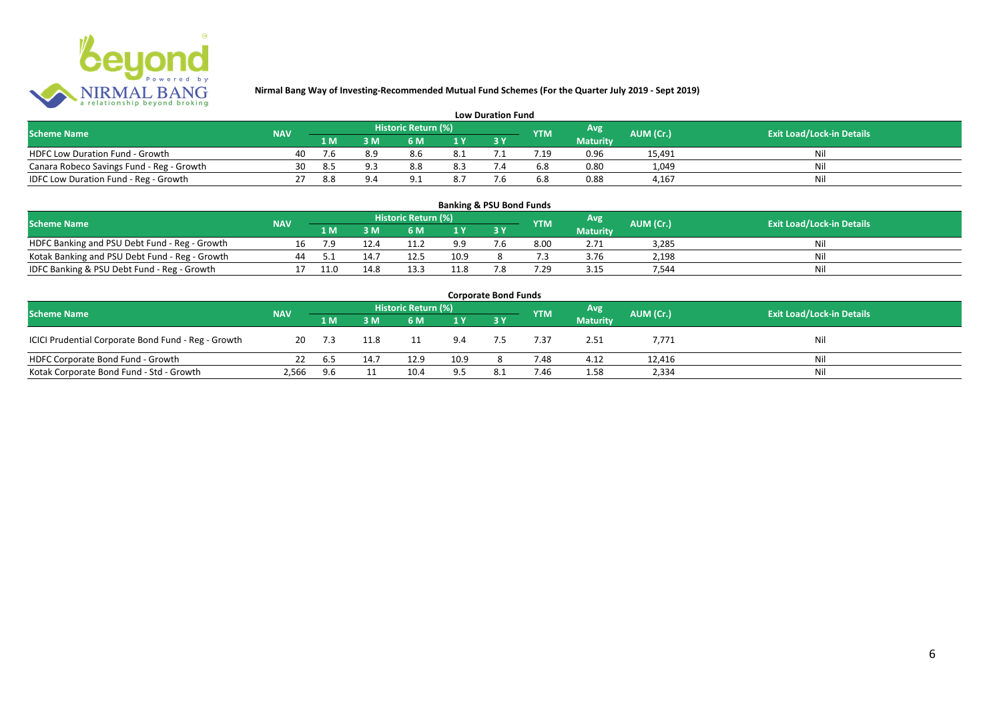

| <b>Low Duration Fund</b>                  |            |     |     |                     |      |  |            |                 |           |                                  |  |  |  |  |
|-------------------------------------------|------------|-----|-----|---------------------|------|--|------------|-----------------|-----------|----------------------------------|--|--|--|--|
| <b>Scheme Name</b>                        | <b>NAV</b> |     |     | Historic Return (%) |      |  | <b>YTM</b> | Avg             | AUM (Cr.) | <b>Exit Load/Lock-in Details</b> |  |  |  |  |
|                                           |            | 1 M |     | 6 M                 |      |  |            | <b>Maturity</b> |           |                                  |  |  |  |  |
| <b>HDFC Low Duration Fund - Growth</b>    | 40         |     | 8.9 | 8.6                 | -8.1 |  |            | 0.96            | 15,491    | Nli                              |  |  |  |  |
| Canara Robeco Savings Fund - Reg - Growth | 30         | 8.5 | a a | 8.8                 | 8.3  |  | 6.8        | 0.80            | 1,049     | Ni                               |  |  |  |  |
| IDFC Low Duration Fund - Reg - Growth     |            | 8.8 |     |                     | 8.7  |  | 6.8        | 0.88            | 4.167     | Ni                               |  |  |  |  |

| <b>Banking &amp; PSU Bond Funds</b>            |            |      |      |                     |                |          |            |                 |           |                                  |  |  |  |  |
|------------------------------------------------|------------|------|------|---------------------|----------------|----------|------------|-----------------|-----------|----------------------------------|--|--|--|--|
| <b>Scheme Name</b>                             | <b>NAV</b> |      |      | Historic Return (%) |                |          | <b>YTM</b> | Avg             | AUM (Cr.) | <b>Exit Load/Lock-in Details</b> |  |  |  |  |
|                                                |            | 1 M  |      | 6 M                 | 1 <sup>Y</sup> |          |            | <b>Maturity</b> |           |                                  |  |  |  |  |
| HDFC Banking and PSU Debt Fund - Reg - Growth  | 16         | 7.9  | 12.4 | 11.2                | 9.9            |          | 8.00       | 2.71            | 3,285     | Nil                              |  |  |  |  |
| Kotak Banking and PSU Debt Fund - Reg - Growth | 44         |      | 14.7 | 12.5                | 10.9           |          |            | 3.76            | 2,198     | Nil                              |  |  |  |  |
| IDFC Banking & PSU Debt Fund - Reg - Growth    |            | 11.0 | 14.8 |                     | 11.8           | 70<br>ه. | .29        | 3.15            | 544.      | Nil                              |  |  |  |  |

| <b>Corporate Bond Funds</b>                         |            |        |      |      |                |  |            |                 |           |                                  |  |  |  |  |
|-----------------------------------------------------|------------|--------|------|------|----------------|--|------------|-----------------|-----------|----------------------------------|--|--|--|--|
| <b>Scheme Name</b>                                  | <b>NAV</b> |        |      |      |                |  | <b>YTM</b> | <b>Avg</b>      | AUM (Cr.) | <b>Exit Load/Lock-in Details</b> |  |  |  |  |
|                                                     |            | /1 M / | 3 M  | 6 M  | 4 <sub>Y</sub> |  |            | <b>Maturity</b> |           |                                  |  |  |  |  |
| ICICI Prudential Corporate Bond Fund - Reg - Growth | 20         |        | 11.8 |      | 9.4            |  | 7.37       | 2.51            | 7,771     | Nil                              |  |  |  |  |
| HDFC Corporate Bond Fund - Growth                   |            | 6.5    | 14.7 | 12.9 | 10.9           |  | 7.48       | 4.12            | 12,416    | Ni                               |  |  |  |  |
| Kotak Corporate Bond Fund - Std - Growth            | 2,566      | 9.6    |      | 10.4 | 9.5            |  | 7.46       | 1.58            | 2,334     | Ni                               |  |  |  |  |